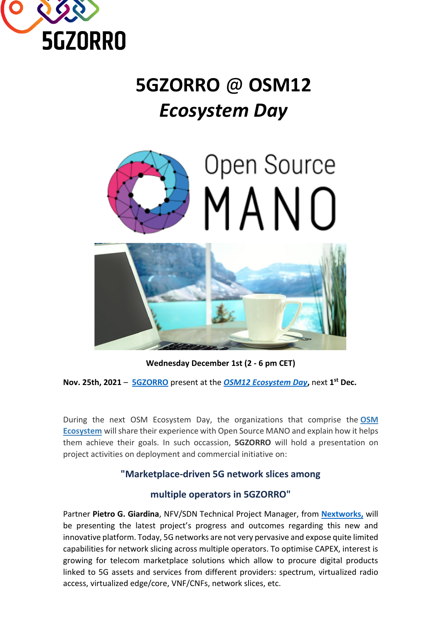

# **5GZORRO** @ **OSM12** *Ecosystem Day*



**Wednesday December 1st (2 - 6 pm CET)**

**Nov. 25th, 2021** – **[5GZORRO](https://www.5gzorro.eu/)** present at the *[OSM12 Ecosystem Day](https://osm.etsi.org/wikipub/index.php/OSM12_Ecosystem_Day)***,** next **1 st Dec.**

During the next OSM Ecosystem Day, the organizations that comprise the **[OSM](https://osm.etsi.org/wikipub/index.php/OSM_Ecosystem)  [Ecosystem](https://osm.etsi.org/wikipub/index.php/OSM_Ecosystem)** will share their experience with Open Source MANO and explain how it helps them achieve their goals. In such occassion, **5GZORRO** will hold a presentation on project activities on deployment and commercial initiative on:

## **"Marketplace-driven 5G network slices among**

## **multiple operators in 5GZORRO"**

Partner **Pietro G. Giardina**, NFV/SDN Technical Project Manager, from **[Nextworks,](https://www.nextworks.it/en/home)** will be presenting the latest project's progress and outcomes regarding this new and innovative platform. Today, 5G networks are not very pervasive and expose quite limited capabilities for network slicing across multiple operators. To optimise CAPEX, interest is growing for telecom marketplace solutions which allow to procure digital products linked to 5G assets and services from different providers: spectrum, virtualized radio access, virtualized edge/core, VNF/CNFs, network slices, etc.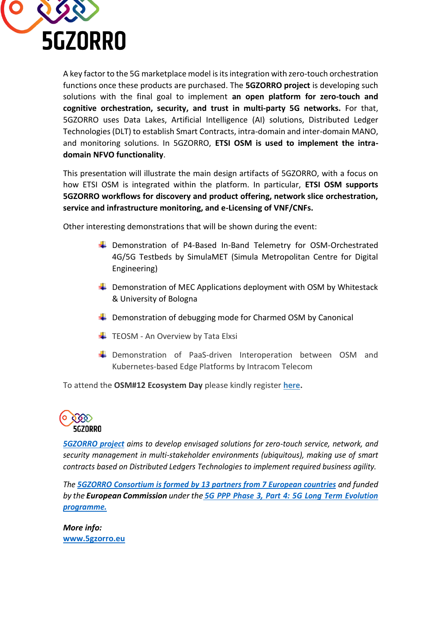

A key factor to the 5G marketplace model is its integration with zero-touch orchestration functions once these products are purchased. The **5GZORRO project** is developing such solutions with the final goal to implement **an open platform for zero-touch and cognitive orchestration, security, and trust in multi-party 5G networks.** For that, 5GZORRO uses Data Lakes, Artificial Intelligence (AI) solutions, Distributed Ledger Technologies (DLT) to establish Smart Contracts, intra-domain and inter-domain MANO, and monitoring solutions. In 5GZORRO, **ETSI OSM is used to implement the intradomain NFVO functionality**.

This presentation will illustrate the main design artifacts of 5GZORRO, with a focus on how ETSI OSM is integrated within the platform. In particular, **ETSI OSM supports 5GZORRO workflows for discovery and product offering, network slice orchestration, service and infrastructure monitoring, and e-Licensing of VNF/CNFs.**

Other interesting demonstrations that will be shown during the event:

- Demonstration of P4-Based In-Band Telemetry for OSM-Orchestrated 4G/5G Testbeds by SimulaMET (Simula Metropolitan Centre for Digital Engineering)
- $\downarrow$  Demonstration of MEC Applications deployment with OSM by Whitestack & University of Bologna
- $\div$  Demonstration of debugging mode for Charmed OSM by Canonical
- $\overline{\phantom{a}}$  TEOSM An Overview by Tata Elxsi
- **E** Demonstration of PaaS-driven Interoperation between OSM and Kubernetes-based Edge Platforms by Intracom Telecom

To attend the **OSM#12 Ecosystem Day** please kindly register **[here.](https://portal.etsi.org/Meetings.aspx#/meeting?MtgId=42780)**



*[5GZORRO project](https://www.5gzorro.eu/) aims to develop envisaged solutions for zero-touch service, network, and security management in multi-stakeholder environments (ubiquitous), making use of smart contracts based on Distributed Ledgers Technologies to implement required business agility.*

*The 5GZORRO [Consortium](https://www.5gzorro.eu/our-partners/) is formed by 13 partners from 7 European countries and funded by the European Commission under the [5G PPP Phase 3, Part 4: 5G Long Term Evolution](https://5g-ppp.eu/5g-ppp-phase-3-projects/) [programme.](https://5g-ppp.eu/5g-ppp-phase-3-projects/)*

*More info:* **[www.5gzorro.eu](http://www.5gzorro.eu/)**